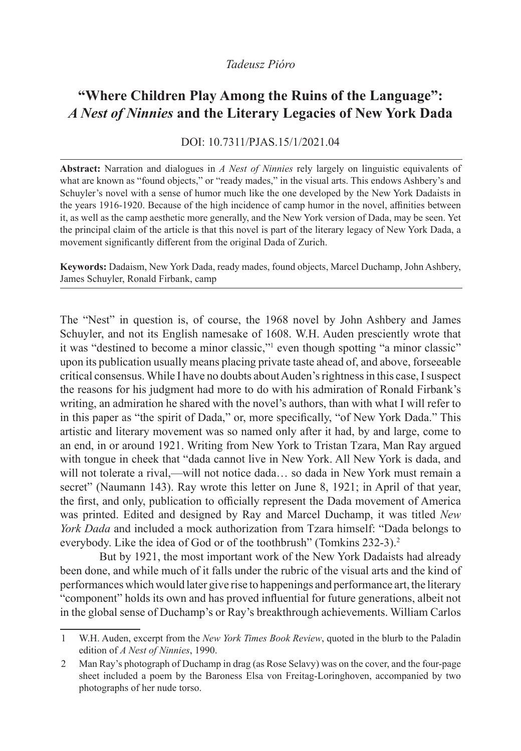## *Tadeusz Pióro*

## **"Where Children Play Among the Ruins of the Language":** *A Nest of Ninnies* **and the Literary Legacies of New York Dada**

## DOI: 10.7311/PJAS.15/1/2021.04

**Abstract:** Narration and dialogues in *A Nest of Ninnies* rely largely on linguistic equivalents of what are known as "found objects," or "ready mades," in the visual arts. This endows Ashbery's and Schuyler's novel with a sense of humor much like the one developed by the New York Dadaists in the years 1916-1920. Because of the high incidence of camp humor in the novel, affinities between it, as well as the camp aesthetic more generally, and the New York version of Dada, may be seen. Yet the principal claim of the article is that this novel is part of the literary legacy of New York Dada, a movement significantly different from the original Dada of Zurich.

**Keywords:** Dadaism, New York Dada, ready mades, found objects, Marcel Duchamp, John Ashbery, James Schuyler, Ronald Firbank, camp

The "Nest" in question is, of course, the 1968 novel by John Ashbery and James Schuyler, and not its English namesake of 1608. W.H. Auden presciently wrote that it was "destined to become a minor classic,"1 even though spotting "a minor classic" upon its publication usually means placing private taste ahead of, and above, forseeable critical consensus. While I have no doubts about Auden's rightness in this case, I suspect the reasons for his judgment had more to do with his admiration of Ronald Firbank's writing, an admiration he shared with the novel's authors, than with what I will refer to in this paper as "the spirit of Dada," or, more specifically, "of New York Dada." This artistic and literary movement was so named only after it had, by and large, come to an end, in or around 1921. Writing from New York to Tristan Tzara, Man Ray argued with tongue in cheek that "dada cannot live in New York. All New York is dada, and will not tolerate a rival,—will not notice dada… so dada in New York must remain a secret" (Naumann 143). Ray wrote this letter on June 8, 1921; in April of that year, the first, and only, publication to officially represent the Dada movement of America was printed. Edited and designed by Ray and Marcel Duchamp, it was titled *New York Dada* and included a mock authorization from Tzara himself: "Dada belongs to everybody. Like the idea of God or of the toothbrush" (Tomkins 232-3).2

But by 1921, the most important work of the New York Dadaists had already been done, and while much of it falls under the rubric of the visual arts and the kind of performances which would later give rise to happenings and performance art, the literary "component" holds its own and has proved influential for future generations, albeit not in the global sense of Duchamp's or Ray's breakthrough achievements. William Carlos

<sup>1</sup> W.H. Auden, excerpt from the *New York Times Book Review*, quoted in the blurb to the Paladin edition of *A Nest of Ninnies*, 1990.

<sup>2</sup> Man Ray's photograph of Duchamp in drag (as Rose Selavy) was on the cover, and the four-page sheet included a poem by the Baroness Elsa von Freitag-Loringhoven, accompanied by two photographs of her nude torso.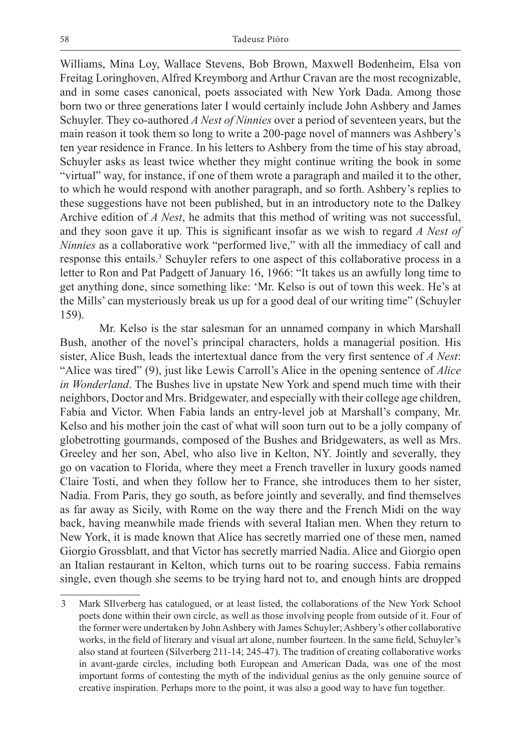Williams, Mina Loy, Wallace Stevens, Bob Brown, Maxwell Bodenheim, Elsa von Freitag Loringhoven, Alfred Kreymborg and Arthur Cravan are the most recognizable, and in some cases canonical, poets associated with New York Dada. Among those born two or three generations later I would certainly include John Ashbery and James Schuyler. They co-authored *A Nest of Ninnies* over a period of seventeen years, but the main reason it took them so long to write a 200-page novel of manners was Ashbery's ten year residence in France. In his letters to Ashbery from the time of his stay abroad, Schuyler asks as least twice whether they might continue writing the book in some "virtual" way, for instance, if one of them wrote a paragraph and mailed it to the other, to which he would respond with another paragraph, and so forth. Ashbery's replies to these suggestions have not been published, but in an introductory note to the Dalkey Archive edition of *A Nest*, he admits that this method of writing was not successful, and they soon gave it up. This is significant insofar as we wish to regard *A Nest of Ninnies* as a collaborative work "performed live," with all the immediacy of call and response this entails.<sup>3</sup> Schuyler refers to one aspect of this collaborative process in a letter to Ron and Pat Padgett of January 16, 1966: "It takes us an awfully long time to get anything done, since something like: 'Mr. Kelso is out of town this week. He's at the Mills' can mysteriously break us up for a good deal of our writing time" (Schuyler 159).

Mr. Kelso is the star salesman for an unnamed company in which Marshall Bush, another of the novel's principal characters, holds a managerial position. His sister, Alice Bush, leads the intertextual dance from the very first sentence of *A Nest*: "Alice was tired" (9), just like Lewis Carroll's Alice in the opening sentence of *Alice in Wonderland*. The Bushes live in upstate New York and spend much time with their neighbors, Doctor and Mrs. Bridgewater, and especially with their college age children, Fabia and Victor. When Fabia lands an entry-level job at Marshall's company, Mr. Kelso and his mother join the cast of what will soon turn out to be a jolly company of globetrotting gourmands, composed of the Bushes and Bridgewaters, as well as Mrs. Greeley and her son, Abel, who also live in Kelton, NY. Jointly and severally, they go on vacation to Florida, where they meet a French traveller in luxury goods named Claire Tosti, and when they follow her to France, she introduces them to her sister, Nadia. From Paris, they go south, as before jointly and severally, and find themselves as far away as Sicily, with Rome on the way there and the French Midi on the way back, having meanwhile made friends with several Italian men. When they return to New York, it is made known that Alice has secretly married one of these men, named Giorgio Grossblatt, and that Victor has secretly married Nadia. Alice and Giorgio open an Italian restaurant in Kelton, which turns out to be roaring success. Fabia remains single, even though she seems to be trying hard not to, and enough hints are dropped

<sup>3</sup> Mark SIlverberg has catalogued, or at least listed, the collaborations of the New York School poets done within their own circle, as well as those involving people from outside of it. Four of the former were undertaken by John Ashbery with James Schuyler; Ashbery's other collaborative works, in the field of literary and visual art alone, number fourteen. In the same field, Schuyler's also stand at fourteen (Silverberg 211-14; 245-47). The tradition of creating collaborative works in avant-garde circles, including both European and American Dada, was one of the most important forms of contesting the myth of the individual genius as the only genuine source of creative inspiration. Perhaps more to the point, it was also a good way to have fun together.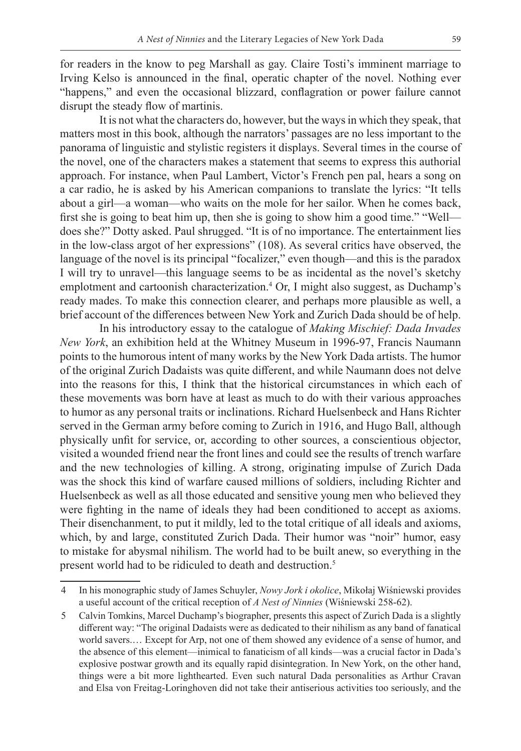for readers in the know to peg Marshall as gay. Claire Tosti's imminent marriage to Irving Kelso is announced in the final, operatic chapter of the novel. Nothing ever "happens," and even the occasional blizzard, conflagration or power failure cannot disrupt the steady flow of martinis.

It is not what the characters do, however, but the ways in which they speak, that matters most in this book, although the narrators' passages are no less important to the panorama of linguistic and stylistic registers it displays. Several times in the course of the novel, one of the characters makes a statement that seems to express this authorial approach. For instance, when Paul Lambert, Victor's French pen pal, hears a song on a car radio, he is asked by his American companions to translate the lyrics: "It tells about a girl—a woman—who waits on the mole for her sailor. When he comes back, first she is going to beat him up, then she is going to show him a good time." "Well does she?" Dotty asked. Paul shrugged. "It is of no importance. The entertainment lies in the low-class argot of her expressions" (108). As several critics have observed, the language of the novel is its principal "focalizer," even though—and this is the paradox I will try to unravel—this language seems to be as incidental as the novel's sketchy emplotment and cartoonish characterization.<sup>4</sup> Or, I might also suggest, as Duchamp's ready mades. To make this connection clearer, and perhaps more plausible as well, a brief account of the differences between New York and Zurich Dada should be of help.

In his introductory essay to the catalogue of *Making Mischief: Dada Invades New York*, an exhibition held at the Whitney Museum in 1996-97, Francis Naumann points to the humorous intent of many works by the New York Dada artists. The humor of the original Zurich Dadaists was quite different, and while Naumann does not delve into the reasons for this, I think that the historical circumstances in which each of these movements was born have at least as much to do with their various approaches to humor as any personal traits or inclinations. Richard Huelsenbeck and Hans Richter served in the German army before coming to Zurich in 1916, and Hugo Ball, although physically unfit for service, or, according to other sources, a conscientious objector, visited a wounded friend near the front lines and could see the results of trench warfare and the new technologies of killing. A strong, originating impulse of Zurich Dada was the shock this kind of warfare caused millions of soldiers, including Richter and Huelsenbeck as well as all those educated and sensitive young men who believed they were fighting in the name of ideals they had been conditioned to accept as axioms. Their disenchanment, to put it mildly, led to the total critique of all ideals and axioms, which, by and large, constituted Zurich Dada. Their humor was "noir" humor, easy to mistake for abysmal nihilism. The world had to be built anew, so everything in the present world had to be ridiculed to death and destruction.5

<sup>4</sup> In his monographic study of James Schuyler, *Nowy Jork i okolice*, Mikołaj Wiśniewski provides a useful account of the critical reception of *A Nest of Ninnies* (Wiśniewski 258-62).

<sup>5</sup> Calvin Tomkins, Marcel Duchamp's biographer, presents this aspect of Zurich Dada is a slightly different way: "The original Dadaists were as dedicated to their nihilism as any band of fanatical world savers.… Except for Arp, not one of them showed any evidence of a sense of humor, and the absence of this element—inimical to fanaticism of all kinds—was a crucial factor in Dada's explosive postwar growth and its equally rapid disintegration. In New York, on the other hand, things were a bit more lighthearted. Even such natural Dada personalities as Arthur Cravan and Elsa von Freitag-Loringhoven did not take their antiserious activities too seriously, and the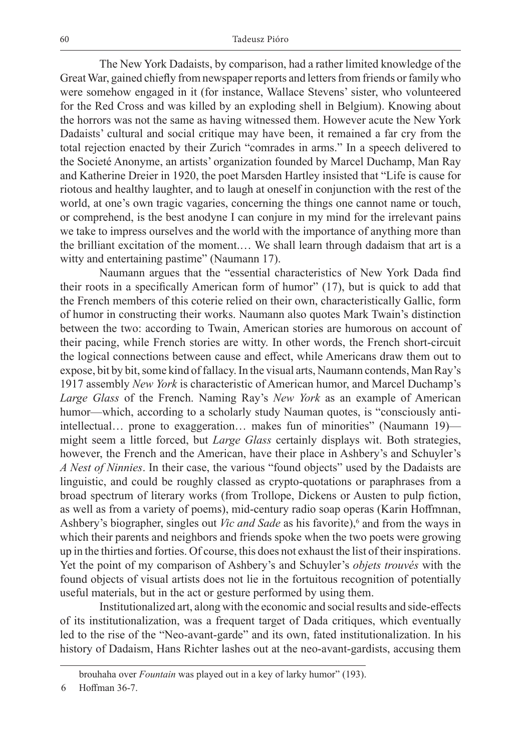The New York Dadaists, by comparison, had a rather limited knowledge of the Great War, gained chiefly from newspaper reports and letters from friends or family who were somehow engaged in it (for instance, Wallace Stevens' sister, who volunteered for the Red Cross and was killed by an exploding shell in Belgium). Knowing about the horrors was not the same as having witnessed them. However acute the New York Dadaists' cultural and social critique may have been, it remained a far cry from the total rejection enacted by their Zurich "comrades in arms." In a speech delivered to the Societé Anonyme, an artists' organization founded by Marcel Duchamp, Man Ray and Katherine Dreier in 1920, the poet Marsden Hartley insisted that "Life is cause for riotous and healthy laughter, and to laugh at oneself in conjunction with the rest of the world, at one's own tragic vagaries, concerning the things one cannot name or touch, or comprehend, is the best anodyne I can conjure in my mind for the irrelevant pains we take to impress ourselves and the world with the importance of anything more than the brilliant excitation of the moment.… We shall learn through dadaism that art is a witty and entertaining pastime" (Naumann 17).

Naumann argues that the "essential characteristics of New York Dada find their roots in a specifically American form of humor" (17), but is quick to add that the French members of this coterie relied on their own, characteristically Gallic, form of humor in constructing their works. Naumann also quotes Mark Twain's distinction between the two: according to Twain, American stories are humorous on account of their pacing, while French stories are witty. In other words, the French short-circuit the logical connections between cause and effect, while Americans draw them out to expose, bit by bit, some kind of fallacy. In the visual arts, Naumann contends, Man Ray's 1917 assembly *New York* is characteristic of American humor, and Marcel Duchamp's *Large Glass* of the French. Naming Ray's *New York* as an example of American humor—which, according to a scholarly study Nauman quotes, is "consciously antiintellectual… prone to exaggeration… makes fun of minorities" (Naumann 19) might seem a little forced, but *Large Glass* certainly displays wit. Both strategies, however, the French and the American, have their place in Ashbery's and Schuyler's *A Nest of Ninnies*. In their case, the various "found objects" used by the Dadaists are linguistic, and could be roughly classed as crypto-quotations or paraphrases from a broad spectrum of literary works (from Trollope, Dickens or Austen to pulp fiction, as well as from a variety of poems), mid-century radio soap operas (Karin Hoffmnan, Ashbery's biographer, singles out *Vic and Sade* as his favorite),<sup>6</sup> and from the ways in which their parents and neighbors and friends spoke when the two poets were growing up in the thirties and forties. Of course, this does not exhaust the list of their inspirations. Yet the point of my comparison of Ashbery's and Schuyler's *objets trouvés* with the found objects of visual artists does not lie in the fortuitous recognition of potentially useful materials, but in the act or gesture performed by using them.

Institutionalized art, along with the economic and social results and side-effects of its institutionalization, was a frequent target of Dada critiques, which eventually led to the rise of the "Neo-avant-garde" and its own, fated institutionalization. In his history of Dadaism, Hans Richter lashes out at the neo-avant-gardists, accusing them

brouhaha over *Fountain* was played out in a key of larky humor" (193).

<sup>6</sup> Hoffman 36-7.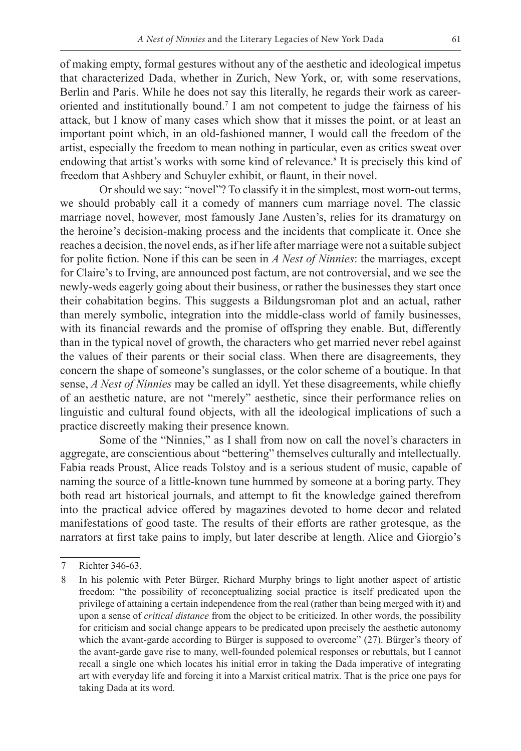of making empty, formal gestures without any of the aesthetic and ideological impetus that characterized Dada, whether in Zurich, New York, or, with some reservations, Berlin and Paris. While he does not say this literally, he regards their work as careeroriented and institutionally bound.7 I am not competent to judge the fairness of his attack, but I know of many cases which show that it misses the point, or at least an important point which, in an old-fashioned manner, I would call the freedom of the artist, especially the freedom to mean nothing in particular, even as critics sweat over endowing that artist's works with some kind of relevance.<sup>8</sup> It is precisely this kind of

freedom that Ashbery and Schuyler exhibit, or flaunt, in their novel.

Or should we say: "novel"? To classify it in the simplest, most worn-out terms, we should probably call it a comedy of manners cum marriage novel. The classic marriage novel, however, most famously Jane Austen's, relies for its dramaturgy on the heroine's decision-making process and the incidents that complicate it. Once she reaches a decision, the novel ends, as if her life after marriage were not a suitable subject for polite fiction. None if this can be seen in *A Nest of Ninnies*: the marriages, except for Claire's to Irving, are announced post factum, are not controversial, and we see the newly-weds eagerly going about their business, or rather the businesses they start once their cohabitation begins. This suggests a Bildungsroman plot and an actual, rather than merely symbolic, integration into the middle-class world of family businesses, with its financial rewards and the promise of offspring they enable. But, differently than in the typical novel of growth, the characters who get married never rebel against the values of their parents or their social class. When there are disagreements, they concern the shape of someone's sunglasses, or the color scheme of a boutique. In that sense, *A Nest of Ninnies* may be called an idyll. Yet these disagreements, while chiefly of an aesthetic nature, are not "merely" aesthetic, since their performance relies on linguistic and cultural found objects, with all the ideological implications of such a practice discreetly making their presence known.

Some of the "Ninnies," as I shall from now on call the novel's characters in aggregate, are conscientious about "bettering" themselves culturally and intellectually. Fabia reads Proust, Alice reads Tolstoy and is a serious student of music, capable of naming the source of a little-known tune hummed by someone at a boring party. They both read art historical journals, and attempt to fit the knowledge gained therefrom into the practical advice offered by magazines devoted to home decor and related manifestations of good taste. The results of their efforts are rather grotesque, as the narrators at first take pains to imply, but later describe at length. Alice and Giorgio's

<sup>7</sup> Richter 346-63.

<sup>8</sup> In his polemic with Peter Bürger, Richard Murphy brings to light another aspect of artistic freedom: "the possibility of reconceptualizing social practice is itself predicated upon the privilege of attaining a certain independence from the real (rather than being merged with it) and upon a sense of *critical distance* from the object to be criticized. In other words, the possibility for criticism and social change appears to be predicated upon precisely the aesthetic autonomy which the avant-garde according to Bürger is supposed to overcome" (27). Bürger's theory of the avant-garde gave rise to many, well-founded polemical responses or rebuttals, but I cannot recall a single one which locates his initial error in taking the Dada imperative of integrating art with everyday life and forcing it into a Marxist critical matrix. That is the price one pays for taking Dada at its word.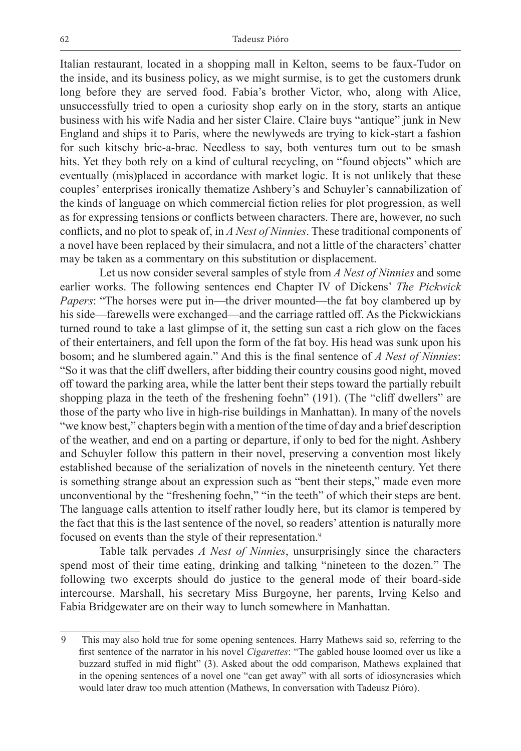Italian restaurant, located in a shopping mall in Kelton, seems to be faux-Tudor on the inside, and its business policy, as we might surmise, is to get the customers drunk long before they are served food. Fabia's brother Victor, who, along with Alice, unsuccessfully tried to open a curiosity shop early on in the story, starts an antique business with his wife Nadia and her sister Claire. Claire buys "antique" junk in New England and ships it to Paris, where the newlyweds are trying to kick-start a fashion for such kitschy bric-a-brac. Needless to say, both ventures turn out to be smash hits. Yet they both rely on a kind of cultural recycling, on "found objects" which are eventually (mis)placed in accordance with market logic. It is not unlikely that these couples' enterprises ironically thematize Ashbery's and Schuyler's cannabilization of the kinds of language on which commercial fiction relies for plot progression, as well as for expressing tensions or conflicts between characters. There are, however, no such conflicts, and no plot to speak of, in *A Nest of Ninnies*. These traditional components of a novel have been replaced by their simulacra, and not a little of the characters' chatter may be taken as a commentary on this substitution or displacement.

Let us now consider several samples of style from *A Nest of Ninnies* and some earlier works. The following sentences end Chapter IV of Dickens' *The Pickwick Papers*: "The horses were put in—the driver mounted—the fat boy clambered up by his side—farewells were exchanged—and the carriage rattled off. As the Pickwickians turned round to take a last glimpse of it, the setting sun cast a rich glow on the faces of their entertainers, and fell upon the form of the fat boy. His head was sunk upon his bosom; and he slumbered again." And this is the final sentence of *A Nest of Ninnies*: "So it was that the cliff dwellers, after bidding their country cousins good night, moved off toward the parking area, while the latter bent their steps toward the partially rebuilt shopping plaza in the teeth of the freshening foehn" (191). (The "cliff dwellers" are those of the party who live in high-rise buildings in Manhattan). In many of the novels "we know best," chapters begin with a mention of the time of day and a brief description of the weather, and end on a parting or departure, if only to bed for the night. Ashbery and Schuyler follow this pattern in their novel, preserving a convention most likely established because of the serialization of novels in the nineteenth century. Yet there is something strange about an expression such as "bent their steps," made even more unconventional by the "freshening foehn," "in the teeth" of which their steps are bent. The language calls attention to itself rather loudly here, but its clamor is tempered by the fact that this is the last sentence of the novel, so readers' attention is naturally more focused on events than the style of their representation.<sup>9</sup>

Table talk pervades *A Nest of Ninnies*, unsurprisingly since the characters spend most of their time eating, drinking and talking "nineteen to the dozen." The following two excerpts should do justice to the general mode of their board-side intercourse. Marshall, his secretary Miss Burgoyne, her parents, Irving Kelso and Fabia Bridgewater are on their way to lunch somewhere in Manhattan.

<sup>9</sup> This may also hold true for some opening sentences. Harry Mathews said so, referring to the first sentence of the narrator in his novel *Cigarettes*: "The gabled house loomed over us like a buzzard stuffed in mid flight" (3). Asked about the odd comparison, Mathews explained that in the opening sentences of a novel one "can get away" with all sorts of idiosyncrasies which would later draw too much attention (Mathews, In conversation with Tadeusz Pióro).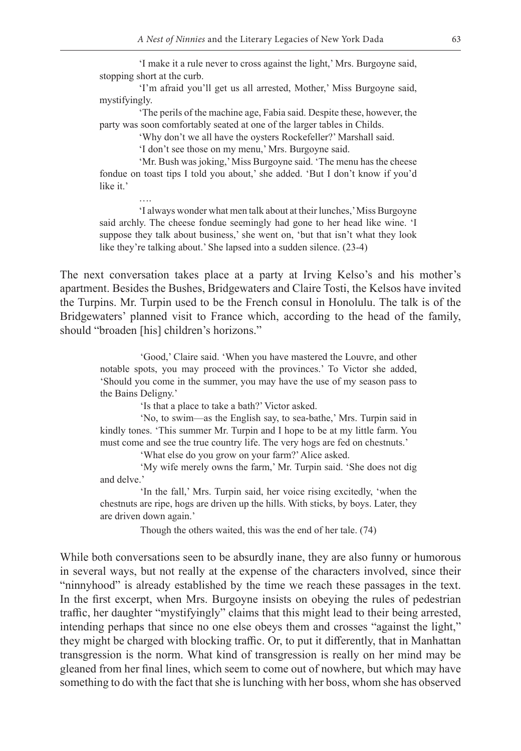'I make it a rule never to cross against the light,' Mrs. Burgoyne said, stopping short at the curb.

'I'm afraid you'll get us all arrested, Mother,' Miss Burgoyne said, mystifyingly.

'The perils of the machine age, Fabia said. Despite these, however, the party was soon comfortably seated at one of the larger tables in Childs.

'Why don't we all have the oysters Rockefeller?' Marshall said.

'I don't see those on my menu,' Mrs. Burgoyne said.

….

'Mr. Bush was joking,' Miss Burgoyne said. 'The menu has the cheese fondue on toast tips I told you about,' she added. 'But I don't know if you'd like it.'

'I always wonder what men talk about at their lunches,' Miss Burgoyne said archly. The cheese fondue seemingly had gone to her head like wine. 'I suppose they talk about business,' she went on, 'but that isn't what they look like they're talking about.' She lapsed into a sudden silence. (23-4)

The next conversation takes place at a party at Irving Kelso's and his mother's apartment. Besides the Bushes, Bridgewaters and Claire Tosti, the Kelsos have invited the Turpins. Mr. Turpin used to be the French consul in Honolulu. The talk is of the Bridgewaters' planned visit to France which, according to the head of the family, should "broaden [his] children's horizons."

'Good,' Claire said. 'When you have mastered the Louvre, and other notable spots, you may proceed with the provinces.' To Victor she added, 'Should you come in the summer, you may have the use of my season pass to the Bains Deligny.'

'Is that a place to take a bath?' Victor asked.

'No, to swim—as the English say, to sea-bathe,' Mrs. Turpin said in kindly tones. 'This summer Mr. Turpin and I hope to be at my little farm. You must come and see the true country life. The very hogs are fed on chestnuts.'

'What else do you grow on your farm?' Alice asked.

'My wife merely owns the farm,' Mr. Turpin said. 'She does not dig and delve.'

'In the fall,' Mrs. Turpin said, her voice rising excitedly, 'when the chestnuts are ripe, hogs are driven up the hills. With sticks, by boys. Later, they are driven down again.'

Though the others waited, this was the end of her tale. (74)

While both conversations seen to be absurdly inane, they are also funny or humorous in several ways, but not really at the expense of the characters involved, since their "ninnyhood" is already established by the time we reach these passages in the text. In the first excerpt, when Mrs. Burgoyne insists on obeying the rules of pedestrian traffic, her daughter "mystifyingly" claims that this might lead to their being arrested, intending perhaps that since no one else obeys them and crosses "against the light," they might be charged with blocking traffic. Or, to put it differently, that in Manhattan transgression is the norm. What kind of transgression is really on her mind may be gleaned from her final lines, which seem to come out of nowhere, but which may have something to do with the fact that she is lunching with her boss, whom she has observed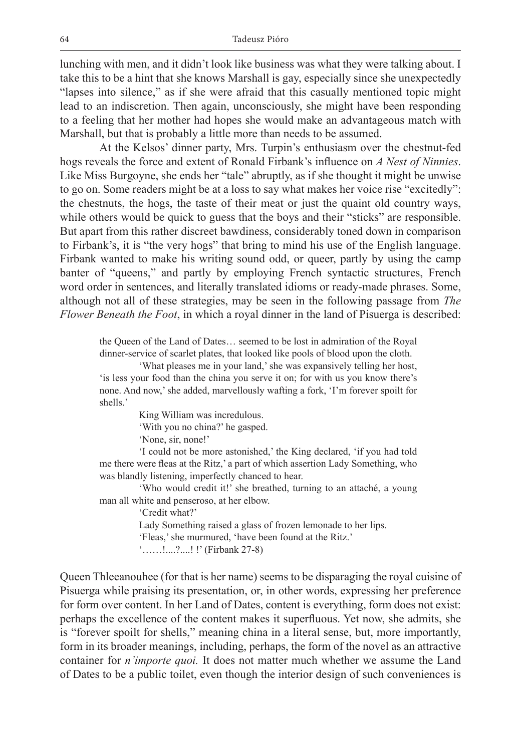lunching with men, and it didn't look like business was what they were talking about. I take this to be a hint that she knows Marshall is gay, especially since she unexpectedly "lapses into silence," as if she were afraid that this casually mentioned topic might lead to an indiscretion. Then again, unconsciously, she might have been responding to a feeling that her mother had hopes she would make an advantageous match with Marshall, but that is probably a little more than needs to be assumed.

At the Kelsos' dinner party, Mrs. Turpin's enthusiasm over the chestnut-fed hogs reveals the force and extent of Ronald Firbank's influence on *A Nest of Ninnies*. Like Miss Burgoyne, she ends her "tale" abruptly, as if she thought it might be unwise to go on. Some readers might be at a loss to say what makes her voice rise "excitedly": the chestnuts, the hogs, the taste of their meat or just the quaint old country ways, while others would be quick to guess that the boys and their "sticks" are responsible. But apart from this rather discreet bawdiness, considerably toned down in comparison to Firbank's, it is "the very hogs" that bring to mind his use of the English language. Firbank wanted to make his writing sound odd, or queer, partly by using the camp banter of "queens," and partly by employing French syntactic structures, French word order in sentences, and literally translated idioms or ready-made phrases. Some, although not all of these strategies, may be seen in the following passage from *The Flower Beneath the Foot*, in which a royal dinner in the land of Pisuerga is described:

the Queen of the Land of Dates… seemed to be lost in admiration of the Royal dinner-service of scarlet plates, that looked like pools of blood upon the cloth.

'What pleases me in your land,' she was expansively telling her host, 'is less your food than the china you serve it on; for with us you know there's none. And now,' she added, marvellously wafting a fork, 'I'm forever spoilt for shells.'

King William was incredulous.

'With you no china?' he gasped.

'None, sir, none!'

'I could not be more astonished,' the King declared, 'if you had told me there were fleas at the Ritz,' a part of which assertion Lady Something, who was blandly listening, imperfectly chanced to hear.

'Who would credit it!' she breathed, turning to an attaché, a young man all white and penseroso, at her elbow.

'Credit what?'

Lady Something raised a glass of frozen lemonade to her lips. 'Fleas,' she murmured, 'have been found at the Ritz.' '……!....?....! !' (Firbank 27-8)

Queen Thleeanouhee (for that is her name) seems to be disparaging the royal cuisine of Pisuerga while praising its presentation, or, in other words, expressing her preference for form over content. In her Land of Dates, content is everything, form does not exist: perhaps the excellence of the content makes it superfluous. Yet now, she admits, she is "forever spoilt for shells," meaning china in a literal sense, but, more importantly, form in its broader meanings, including, perhaps, the form of the novel as an attractive container for *n'importe quoi.* It does not matter much whether we assume the Land of Dates to be a public toilet, even though the interior design of such conveniences is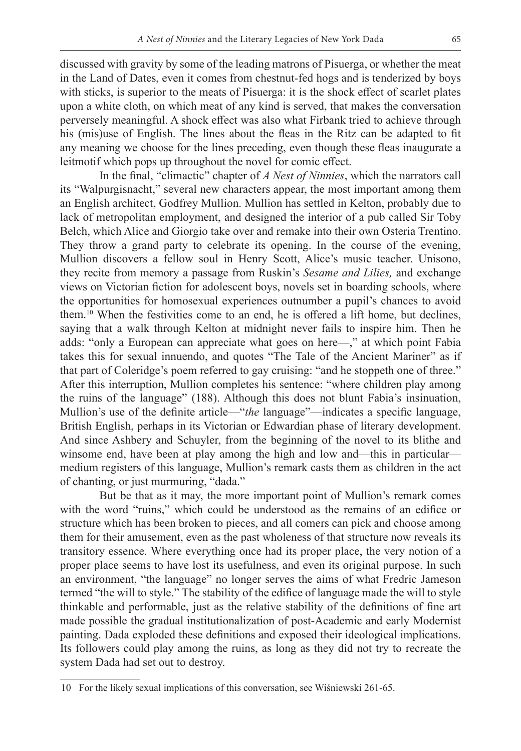discussed with gravity by some of the leading matrons of Pisuerga, or whether the meat in the Land of Dates, even it comes from chestnut-fed hogs and is tenderized by boys with sticks, is superior to the meats of Pisuerga: it is the shock effect of scarlet plates upon a white cloth, on which meat of any kind is served, that makes the conversation perversely meaningful. A shock effect was also what Firbank tried to achieve through his (mis)use of English. The lines about the fleas in the Ritz can be adapted to fit any meaning we choose for the lines preceding, even though these fleas inaugurate a leitmotif which pops up throughout the novel for comic effect.

In the final, "climactic" chapter of *A Nest of Ninnies*, which the narrators call its "Walpurgisnacht," several new characters appear, the most important among them an English architect, Godfrey Mullion. Mullion has settled in Kelton, probably due to lack of metropolitan employment, and designed the interior of a pub called Sir Toby Belch, which Alice and Giorgio take over and remake into their own Osteria Trentino. They throw a grand party to celebrate its opening. In the course of the evening, Mullion discovers a fellow soul in Henry Scott, Alice's music teacher. Unisono, they recite from memory a passage from Ruskin's *Sesame and Lilies,* and exchange views on Victorian fiction for adolescent boys, novels set in boarding schools, where the opportunities for homosexual experiences outnumber a pupil's chances to avoid them.10 When the festivities come to an end, he is offered a lift home, but declines, saying that a walk through Kelton at midnight never fails to inspire him. Then he adds: "only a European can appreciate what goes on here—," at which point Fabia takes this for sexual innuendo, and quotes "The Tale of the Ancient Mariner" as if that part of Coleridge's poem referred to gay cruising: "and he stoppeth one of three." After this interruption, Mullion completes his sentence: "where children play among the ruins of the language" (188). Although this does not blunt Fabia's insinuation, Mullion's use of the definite article—"*the* language"—indicates a specific language, British English, perhaps in its Victorian or Edwardian phase of literary development. And since Ashbery and Schuyler, from the beginning of the novel to its blithe and winsome end, have been at play among the high and low and—this in particular medium registers of this language, Mullion's remark casts them as children in the act of chanting, or just murmuring, "dada."

But be that as it may, the more important point of Mullion's remark comes with the word "ruins," which could be understood as the remains of an edifice or structure which has been broken to pieces, and all comers can pick and choose among them for their amusement, even as the past wholeness of that structure now reveals its transitory essence. Where everything once had its proper place, the very notion of a proper place seems to have lost its usefulness, and even its original purpose. In such an environment, "the language" no longer serves the aims of what Fredric Jameson termed "the will to style." The stability of the edifice of language made the will to style thinkable and performable, just as the relative stability of the definitions of fine art made possible the gradual institutionalization of post-Academic and early Modernist painting. Dada exploded these definitions and exposed their ideological implications. Its followers could play among the ruins, as long as they did not try to recreate the system Dada had set out to destroy.

<sup>10</sup> For the likely sexual implications of this conversation, see Wiśniewski 261-65.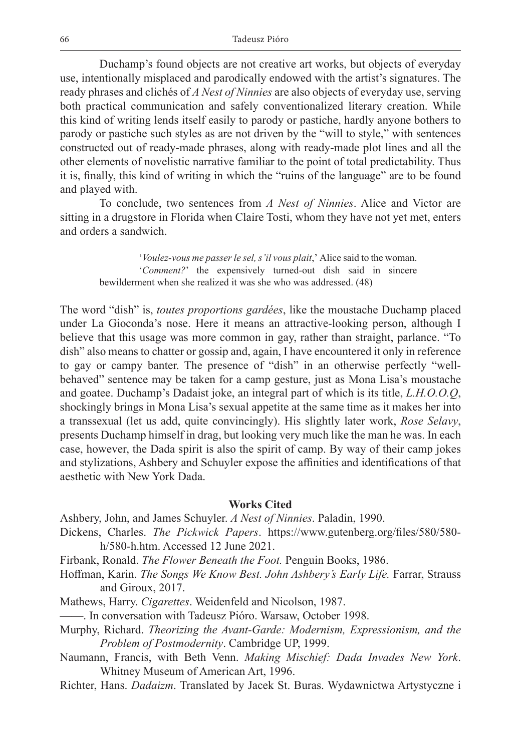Duchamp's found objects are not creative art works, but objects of everyday use, intentionally misplaced and parodically endowed with the artist's signatures. The ready phrases and clichés of *A Nest of Ninnies* are also objects of everyday use, serving both practical communication and safely conventionalized literary creation. While this kind of writing lends itself easily to parody or pastiche, hardly anyone bothers to parody or pastiche such styles as are not driven by the "will to style," with sentences constructed out of ready-made phrases, along with ready-made plot lines and all the other elements of novelistic narrative familiar to the point of total predictability. Thus it is, finally, this kind of writing in which the "ruins of the language" are to be found and played with.

To conclude, two sentences from *A Nest of Ninnies*. Alice and Victor are sitting in a drugstore in Florida when Claire Tosti, whom they have not yet met, enters and orders a sandwich.

'*Voulez-vous me passer le sel, s'il vous plait*,' Alice said to the woman. '*Comment?*' the expensively turned-out dish said in sincere bewilderment when she realized it was she who was addressed. (48)

The word "dish" is, *toutes proportions gardées*, like the moustache Duchamp placed under La Gioconda's nose. Here it means an attractive-looking person, although I believe that this usage was more common in gay, rather than straight, parlance. "To dish" also means to chatter or gossip and, again, I have encountered it only in reference to gay or campy banter. The presence of "dish" in an otherwise perfectly "wellbehaved" sentence may be taken for a camp gesture, just as Mona Lisa's moustache and goatee. Duchamp's Dadaist joke, an integral part of which is its title, *L.H.O.O.Q*, shockingly brings in Mona Lisa's sexual appetite at the same time as it makes her into a transsexual (let us add, quite convincingly). His slightly later work, *Rose Selavy*, presents Duchamp himself in drag, but looking very much like the man he was. In each case, however, the Dada spirit is also the spirit of camp. By way of their camp jokes and stylizations, Ashbery and Schuyler expose the affinities and identifications of that aesthetic with New York Dada.

## **Works Cited**

Ashbery, John, and James Schuyler. *A Nest of Ninnies*. Paladin, 1990.

- Dickens, Charles. *The Pickwick Papers*. https://www.gutenberg.org/files/580/580 h/580-h.htm. Accessed 12 June 2021.
- Firbank, Ronald. *The Flower Beneath the Foot.* Penguin Books, 1986.
- Hoffman, Karin. *The Songs We Know Best. John Ashbery's Early Life.* Farrar, Strauss and Giroux, 2017.
- Mathews, Harry. *Cigarettes*. Weidenfeld and Nicolson, 1987.
- ——. In conversation with Tadeusz Pióro. Warsaw, October 1998.
- Murphy, Richard. *Theorizing the Avant-Garde: Modernism, Expressionism, and the Problem of Postmodernity*. Cambridge UP, 1999.
- Naumann, Francis, with Beth Venn. *Making Mischief: Dada Invades New York*. Whitney Museum of American Art, 1996.
- Richter, Hans. *Dadaizm*. Translated by Jacek St. Buras. Wydawnictwa Artystyczne i